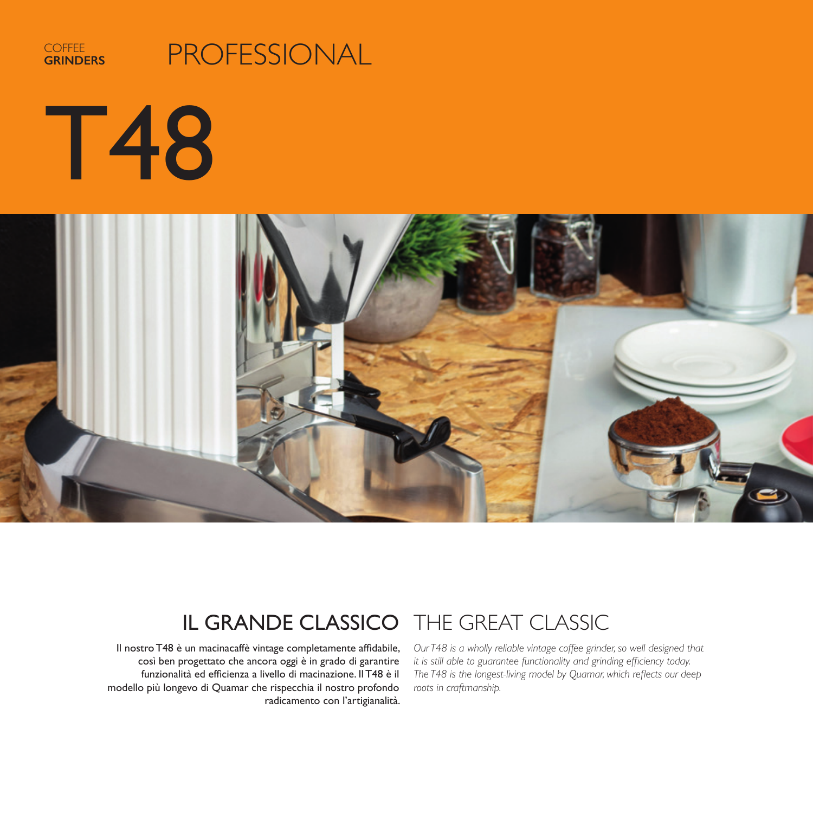

# PROFESSIONAL

T48



## IL GRANDE CLASSICO THE GREAT CLASSIC

Il nostro T48 è un macinacaffè vintage completamente affidabile, così ben progettato che ancora oggi è in grado di garantire funzionalità ed efficienza a livello di macinazione. Il T48 è il modello più longevo di Quamar che rispecchia il nostro profondo radicamento con l'artigianalità.

*Our T48 is a wholly reliable vintage coffee grinder, so well designed that it is still able to guarantee functionality and grinding efficiency today. The T48 is the longest-living model by Quamar, which reflects our deep roots in craftmanship.*